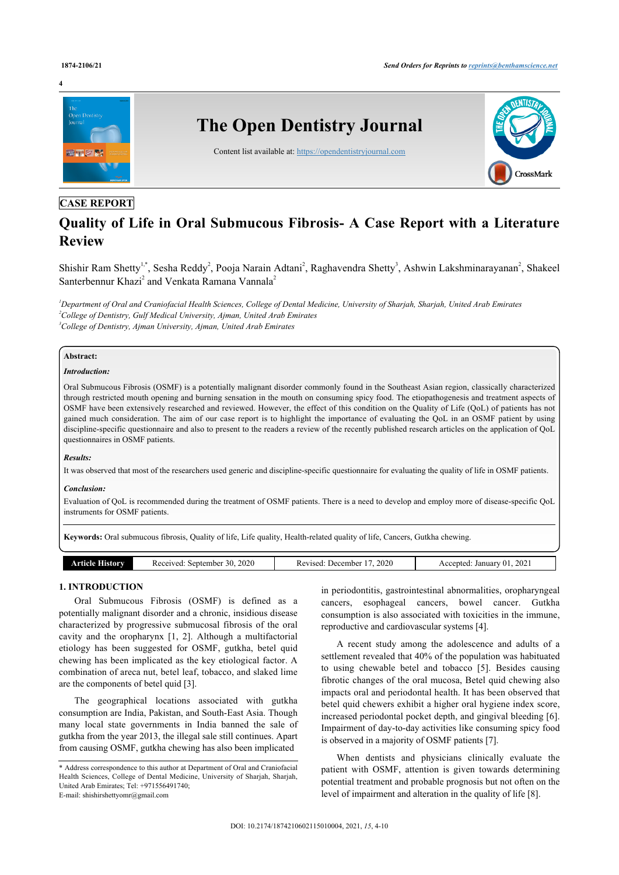

# **CASE REPORT**

# **Quality of Life in Oral Submucous Fibrosis- A Case Report with a Literature Review**

Shishir Ram Shetty<sup>1,\*</sup>, Sesha Reddy<sup>2</sup>, Pooja Narain Adtani<sup>2</sup>, Raghavendra Shetty<sup>3</sup>, Ashwin Lakshminarayanan<sup>2</sup>, Shakeel Santerbennur Khazi<sup>2</sup> and Venkata Ramana Vannala<sup>2</sup>

*<sup>1</sup>Department of Oral and Craniofacial Health Sciences, College of Dental Medicine, University of Sharjah, Sharjah, United Arab Emirates <sup>2</sup>College of Dentistry, Gulf Medical University, Ajman, United Arab Emirates <sup>3</sup>College of Dentistry, Ajman University, Ajman, United Arab Emirates*

#### **Abstract:**

#### *Introduction:*

Oral Submucous Fibrosis (OSMF) is a potentially malignant disorder commonly found in the Southeast Asian region, classically characterized through restricted mouth opening and burning sensation in the mouth on consuming spicy food. The etiopathogenesis and treatment aspects of OSMF have been extensively researched and reviewed. However, the effect of this condition on the Quality of Life (QoL) of patients has not gained much consideration. The aim of our case report is to highlight the importance of evaluating the QoL in an OSMF patient by using discipline-specific questionnaire and also to present to the readers a review of the recently published research articles on the application of QoL questionnaires in OSMF patients.

#### *Results:*

It was observed that most of the researchers used generic and discipline-specific questionnaire for evaluating the quality of life in OSMF patients.

#### *Conclusion:*

Evaluation of QoL is recommended during the treatment of OSMF patients. There is a need to develop and employ more of disease-specific QoL instruments for OSMF patients.

**Keywords:** Oral submucous fibrosis, Quality of life, Life quality, Health-related quality of life, Cancers, Gutkha chewing.

| History<br>Article | 2020<br>30<br>September<br>Received: | 2020<br>Revised: December | 2021<br>Accepted<br>January<br>О. |
|--------------------|--------------------------------------|---------------------------|-----------------------------------|
|                    |                                      |                           |                                   |

# **1. INTRODUCTION**

Oral Submucous Fibrosis (OSMF) is defined as a potentially malignant disorder and a chronic, insidious disease characterized by progressive submucosal fibrosis of the oral cavity and the oropharynx [1, 2]. Although a multifactorial etiology has been suggested for OSMF, gutkha, betel quid chewing has been implicated as the key etiological factor. A combination of areca nut, betel leaf, tobacco, and slaked lime are the components of betel quid [3].

The geographical locations associated with gutkha consumption are India, Pakistan, and South-East Asia. Though many local state governments in India banned the sale of gutkha from the year 2013, the illegal sale still continues. Apart from causing OSMF, gutkha chewing has also been implicated

in periodontitis, gastrointestinal abnormalities, oropharyngeal cancers, esophageal cancers, bowel cancer. Gutkha consumption is also associated with toxicities in the immune, reproductive and cardiovascular systems [4].

A recent study among the adolescence and adults of a settlement revealed that 40% of the population was habituated to using chewable betel and tobacco [5]. Besides causing fibrotic changes of the oral mucosa, Betel quid chewing also impacts oral and periodontal health. It has been observed that betel quid chewers exhibit a higher oral hygiene index score, increased periodontal pocket depth, and gingival bleeding [6]. Impairment of day-to-day activities like consuming spicy food is observed in a majority of OSMF patients [7].

When dentists and physicians clinically evaluate the patient with OSMF, attention is given towards determining potential treatment and probable prognosis but not often on the level of impairment and alteration in the quality of life [8].

<sup>\*</sup> Address correspondence to this author at Department of Oral and Craniofacial Health Sciences, College of Dental Medicine, University of Sharjah, Sharjah, United Arab Emirates; Tel: +971556491740; E-mail: shishirshettyomr@gmail.com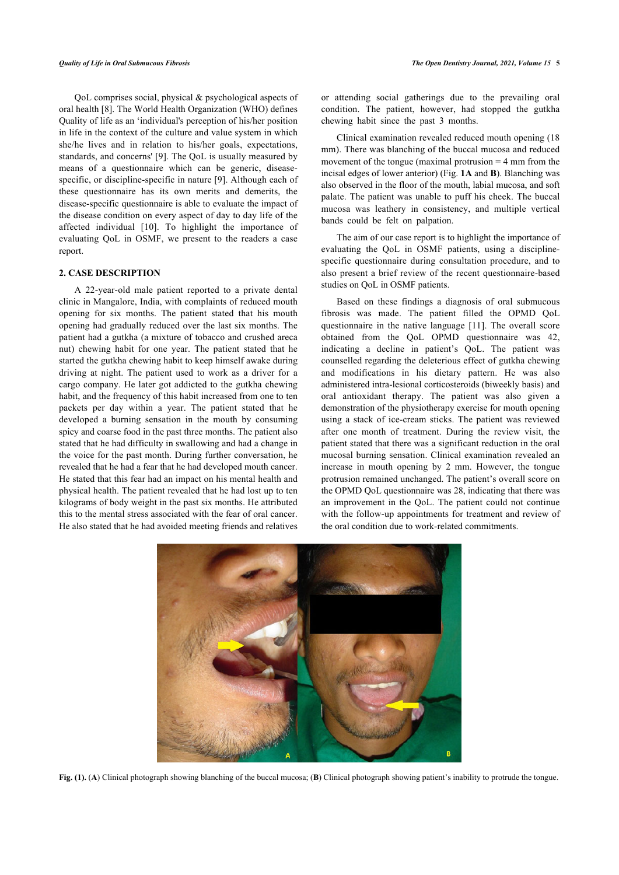QoL comprises social, physical & psychological aspects of oral health [8]. The World Health Organization (WHO) defines Quality of life as an 'individual's perception of his/her position in life in the context of the culture and value system in which she/he lives and in relation to his/her goals, expectations, standards, and concerns' [9]. The QoL is usually measured by means of a questionnaire which can be generic, diseasespecific, or discipline-specific in nature [9]. Although each of these questionnaire has its own merits and demerits, the disease-specific questionnaire is able to evaluate the impact of the disease condition on every aspect of day to day life of the affected individual [10]. To highlight the importance of evaluating QoL in OSMF, we present to the readers a case report.

# **2. CASE DESCRIPTION**

A 22-year-old male patient reported to a private dental clinic in Mangalore, India, with complaints of reduced mouth opening for six months. The patient stated that his mouth opening had gradually reduced over the last six months. The patient had a gutkha (a mixture of tobacco and crushed areca nut) chewing habit for one year. The patient stated that he started the gutkha chewing habit to keep himself awake during driving at night. The patient used to work as a driver for a cargo company. He later got addicted to the gutkha chewing habit, and the frequency of this habit increased from one to ten packets per day within a year. The patient stated that he developed a burning sensation in the mouth by consuming spicy and coarse food in the past three months. The patient also stated that he had difficulty in swallowing and had a change in the voice for the past month. During further conversation, he revealed that he had a fear that he had developed mouth cancer. He stated that this fear had an impact on his mental health and physical health. The patient revealed that he had lost up to ten kilograms of body weight in the past six months. He attributed this to the mental stress associated with the fear of oral cancer. He also stated that he had avoided meeting friends and relatives

or attending social gatherings due to the prevailing oral condition. The patient, however, had stopped the gutkha chewing habit since the past 3 months.

Clinical examination revealed reduced mouth opening (18 mm). There was blanching of the buccal mucosa and reduced movement of the tongue (maximal protrusion  $=$  4 mm from the incisal edges of lower anterior) (Fig. **1A** and **B**). Blanching was also observed in the floor of the mouth, labial mucosa, and soft palate. The patient was unable to puff his cheek. The buccal mucosa was leathery in consistency, and multiple vertical bands could be felt on palpation.

The aim of our case report is to highlight the importance of evaluating the QoL in OSMF patients, using a disciplinespecific questionnaire during consultation procedure, and to also present a brief review of the recent questionnaire-based studies on QoL in OSMF patients.

Based on these findings a diagnosis of oral submucous fibrosis was made. The patient filled the OPMD QoL questionnaire in the native language [11]. The overall score obtained from the QoL OPMD questionnaire was 42, indicating a decline in patient's QoL. The patient was counselled regarding the deleterious effect of gutkha chewing and modifications in his dietary pattern. He was also administered intra-lesional corticosteroids (biweekly basis) and oral antioxidant therapy. The patient was also given a demonstration of the physiotherapy exercise for mouth opening using a stack of ice-cream sticks. The patient was reviewed after one month of treatment. During the review visit, the patient stated that there was a significant reduction in the oral mucosal burning sensation. Clinical examination revealed an increase in mouth opening by 2 mm. However, the tongue protrusion remained unchanged. The patient's overall score on the OPMD QoL questionnaire was 28, indicating that there was an improvement in the QoL. The patient could not continue with the follow-up appointments for treatment and review of the oral condition due to work-related commitments.



**Fig. (1).** (**A**) Clinical photograph showing blanching of the buccal mucosa; (**B**) Clinical photograph showing patient's inability to protrude the tongue.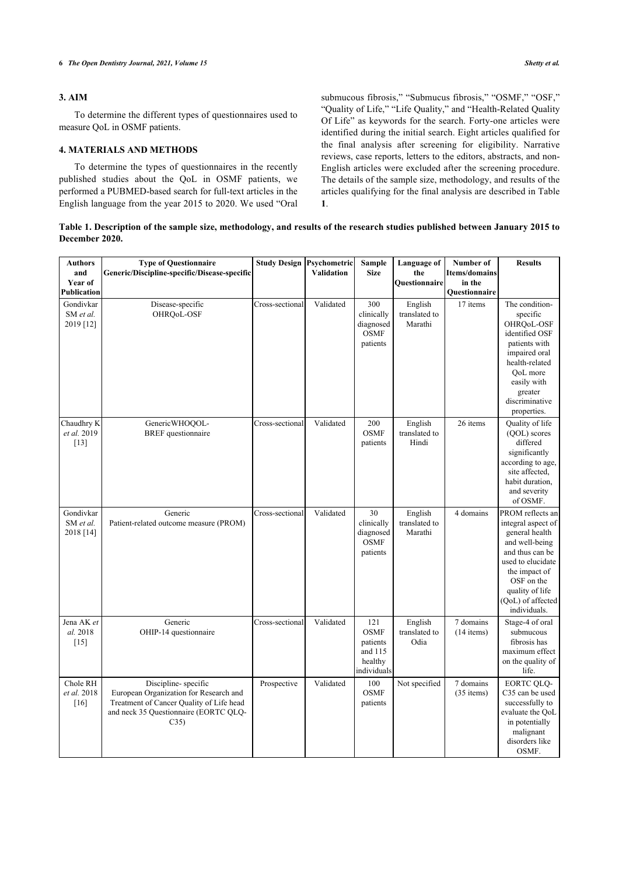# **3. AIM**

To determine the different types of questionnaires used to measure QoL in OSMF patients.

# **4. MATERIALS AND METHODS**

To determine the types of questionnaires in the recently published studies about the QoL in OSMF patients, we performed a PUBMED-based search for full-text articles in the English language from the year 2015 to 2020. We used "Oral submucous fibrosis," "Submucus fibrosis," "OSMF," "OSF," "Quality of Life," "Life Quality," and "Health-Related Quality Of Life" as keywords for the search. Forty-one articles were identified during the initial search. Eight articles qualified for the final analysis after screening for eligibility. Narrative reviews, case reports, letters to the editors, abstracts, and non-English articles were excluded after the screening procedure. The details of the sample size, methodology, and results of the articles qualifying for the final analysis are described in Table **1**.

**Table 1. Description of the sample size, methodology, and results of the research studies published between January 2015 to December 2020.**

| <b>Authors</b><br>and<br>Year of<br>Publication | <b>Type of Questionnaire</b><br>Generic/Discipline-specific/Disease-specific                                                                               | <b>Study Design Psychometric</b> | <b>Validation</b> | <b>Sample</b><br><b>Size</b>                                        | Language of<br>the<br>Questionnaire | Number of<br><b>Items/domains</b><br>in the<br>Questionnaire | <b>Results</b>                                                                                                                                                                                            |
|-------------------------------------------------|------------------------------------------------------------------------------------------------------------------------------------------------------------|----------------------------------|-------------------|---------------------------------------------------------------------|-------------------------------------|--------------------------------------------------------------|-----------------------------------------------------------------------------------------------------------------------------------------------------------------------------------------------------------|
| Gondivkar<br>SM et al.<br>2019 [12]             | Disease-specific<br>OHRQoL-OSF                                                                                                                             | Cross-sectional                  | Validated         | 300<br>clinically<br>diagnosed<br><b>OSMF</b><br>patients           | English<br>translated to<br>Marathi | 17 items                                                     | The condition-<br>specific<br>OHRQoL-OSF<br>identified OSF<br>patients with<br>impaired oral<br>health-related<br>QoL more<br>easily with<br>greater<br>discriminative<br>properties.                     |
| Chaudhry K<br>et al. 2019<br>$[13]$             | GenericWHOQOL-<br><b>BREF</b> questionnaire                                                                                                                | Cross-sectional                  | Validated         | 200<br><b>OSMF</b><br>patients                                      | English<br>translated to<br>Hindi   | 26 items                                                     | Quality of life<br>(OOL) scores<br>differed<br>significantly<br>according to age,<br>site affected,<br>habit duration,<br>and severity<br>of OSMF.                                                        |
| Gondivkar<br>SM et al.<br>2018 [14]             | Generic<br>Patient-related outcome measure (PROM)                                                                                                          | Cross-sectional                  | Validated         | 30<br>clinically<br>diagnosed<br><b>OSMF</b><br>patients            | English<br>translated to<br>Marathi | 4 domains                                                    | PROM reflects an<br>integral aspect of<br>general health<br>and well-being<br>and thus can be<br>used to elucidate<br>the impact of<br>OSF on the<br>quality of life<br>(QoL) of affected<br>individuals. |
| Jena AK et<br>al. 2018<br>$[15]$                | Generic<br>OHIP-14 questionnaire                                                                                                                           | Cross-sectional                  | Validated         | 121<br><b>OSMF</b><br>patients<br>and 115<br>healthy<br>individuals | English<br>translated to<br>Odia    | $\overline{7}$ domains<br>$(14$ items)                       | Stage-4 of oral<br>submucous<br>fibrosis has<br>maximum effect<br>on the quality of<br>life.                                                                                                              |
| Chole RH<br>et al. 2018<br>[16]                 | Discipline-specific<br>European Organization for Research and<br>Treatment of Cancer Quality of Life head<br>and neck 35 Questionnaire (EORTC QLQ-<br>C35) | Prospective                      | Validated         | 100<br><b>OSMF</b><br>patients                                      | Not specified                       | 7 domains<br>$(35$ items)                                    | <b>EORTC OLO-</b><br>C35 can be used<br>successfully to<br>evaluate the QoL<br>in potentially<br>malignant<br>disorders like<br>OSMF.                                                                     |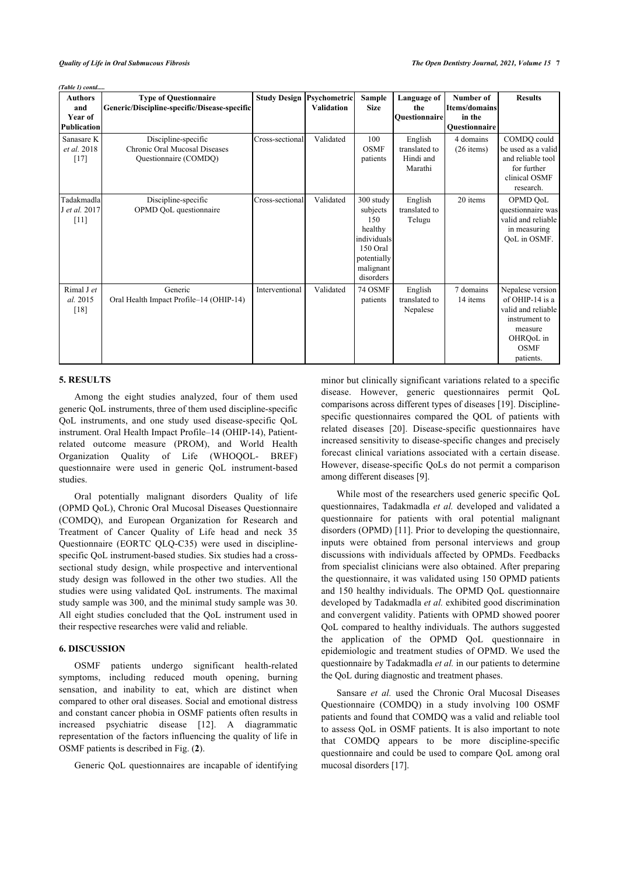*(Table 1) contd.....*

| <b>Authors</b><br>and<br>Year of      | <b>Type of Questionnaire</b><br>Generic/Discipline-specific/Disease-specific  |                 | <b>Study Design Psychometric</b><br><b>Validation</b> | Sample<br><b>Size</b>                                                                                       | Language of<br>the<br><b>Ouestionnaire</b>       | Number of<br>Items/domains<br>in the | <b>Results</b>                                                                                                                             |
|---------------------------------------|-------------------------------------------------------------------------------|-----------------|-------------------------------------------------------|-------------------------------------------------------------------------------------------------------------|--------------------------------------------------|--------------------------------------|--------------------------------------------------------------------------------------------------------------------------------------------|
| <b>Publication</b>                    |                                                                               |                 |                                                       |                                                                                                             |                                                  | Questionnaire                        |                                                                                                                                            |
| Sanasare K<br>et al. 2018<br>$[17]$   | Discipline-specific<br>Chronic Oral Mucosal Diseases<br>Questionnaire (COMDQ) | Cross-sectional | Validated                                             | 100<br><b>OSMF</b><br>patients                                                                              | English<br>translated to<br>Hindi and<br>Marathi | 4 domains<br>$(26$ items)            | COMDQ could<br>be used as a valid<br>and reliable tool<br>for further<br>clinical OSMF<br>research.                                        |
| Tadakmadla<br>J et al. 2017<br>$[11]$ | Discipline-specific<br>OPMD QoL questionnaire                                 | Cross-sectional | Validated                                             | 300 study<br>subjects<br>150<br>healthy<br>individuals<br>150 Oral<br>potentially<br>malignant<br>disorders | English<br>translated to<br>Telugu               | 20 items                             | OPMD QoL<br>questionnaire was<br>valid and reliable<br>in measuring<br>QoL in OSMF.                                                        |
| Rimal J et<br>al. 2015<br>[18]        | Generic<br>Oral Health Impact Profile-14 (OHIP-14)                            | Interventional  | Validated                                             | 74 OSMF<br>patients                                                                                         | English<br>translated to<br>Nepalese             | 7 domains<br>14 items                | Nepalese version<br>of OHIP-14 is a<br>valid and reliable<br>instrument to<br>measure<br>OHRO <sub>oL</sub> in<br><b>OSMF</b><br>patients. |

#### **5. RESULTS**

Among the eight studies analyzed, four of them used generic QoL instruments, three of them used discipline-specific QoL instruments, and one study used disease-specific QoL instrument. Oral Health Impact Profile–14 (OHIP-14), Patientrelated outcome measure (PROM), and World Health Organization Quality of Life (WHOQOL- BREF) questionnaire were used in generic QoL instrument-based studies.

Oral potentially malignant disorders Quality of life (OPMD QoL), Chronic Oral Mucosal Diseases Questionnaire (COMDQ), and European Organization for Research and Treatment of Cancer Quality of Life head and neck 35 Questionnaire (EORTC QLQ-C35) were used in disciplinespecific QoL instrument-based studies. Six studies had a crosssectional study design, while prospective and interventional study design was followed in the other two studies. All the studies were using validated QoL instruments. The maximal study sample was 300, and the minimal study sample was 30. All eight studies concluded that the QoL instrument used in their respective researches were valid and reliable.

## **6. DISCUSSION**

OSMF patients undergo significant health-related symptoms, including reduced mouth opening, burning sensation, and inability to eat, which are distinct when compared to other oral diseases. Social and emotional distress and constant cancer phobia in OSMF patients often results in increased psychiatric disease [12]. A diagrammatic representation of the factors influencing the quality of life in OSMF patients is described in Fig. (**2**).

Generic QoL questionnaires are incapable of identifying

minor but clinically significant variations related to a specific disease. However, generic questionnaires permit QoL comparisons across different types of diseases [19]. Disciplinespecific questionnaires compared the QOL of patients with related diseases [20]. Disease-specific questionnaires have increased sensitivity to disease-specific changes and precisely forecast clinical variations associated with a certain disease. However, disease-specific QoLs do not permit a comparison among different diseases [9].

While most of the researchers used generic specific QoL questionnaires, Tadakmadla *et al.* developed and validated a questionnaire for patients with oral potential malignant disorders (OPMD) [11]. Prior to developing the questionnaire, inputs were obtained from personal interviews and group discussions with individuals affected by OPMDs. Feedbacks from specialist clinicians were also obtained. After preparing the questionnaire, it was validated using 150 OPMD patients and 150 healthy individuals. The OPMD QoL questionnaire developed by Tadakmadla *et al.* exhibited good discrimination and convergent validity. Patients with OPMD showed poorer QoL compared to healthy individuals. The authors suggested the application of the OPMD QoL questionnaire in epidemiologic and treatment studies of OPMD. We used the questionnaire by Tadakmadla *et al.* in our patients to determine the QoL during diagnostic and treatment phases.

Sansare *et al.* used the Chronic Oral Mucosal Diseases Questionnaire (COMDQ) in a study involving 100 OSMF patients and found that COMDQ was a valid and reliable tool to assess QoL in OSMF patients. It is also important to note that COMDQ appears to be more discipline-specific questionnaire and could be used to compare QoL among oral mucosal disorders [17].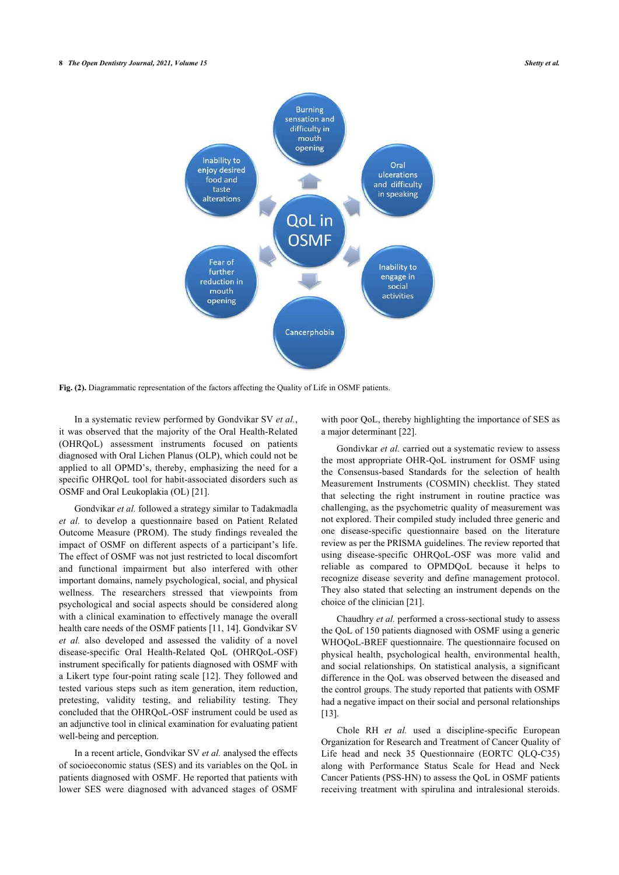#### **8** *The Open Dentistry Journal, 2021, Volume 15 Shetty et al.*



**Fig. (2).** Diagrammatic representation of the factors affecting the Quality of Life in OSMF patients.

In a systematic review performed by Gondvikar SV *et al.*, it was observed that the majority of the Oral Health-Related (OHRQoL) assessment instruments focused on patients diagnosed with Oral Lichen Planus (OLP), which could not be applied to all OPMD's, thereby, emphasizing the need for a specific OHRQoL tool for habit-associated disorders such as OSMF and Oral Leukoplakia (OL) [21].

Gondvikar *et al.* followed a strategy similar to Tadakmadla *et al.* to develop a questionnaire based on Patient Related Outcome Measure (PROM). The study findings revealed the impact of OSMF on different aspects of a participant's life. The effect of OSMF was not just restricted to local discomfort and functional impairment but also interfered with other important domains, namely psychological, social, and physical wellness. The researchers stressed that viewpoints from psychological and social aspects should be considered along with a clinical examination to effectively manage the overall health care needs of the OSMF patients [11, 14]. Gondvikar SV *et al.* also developed and assessed the validity of a novel disease-specific Oral Health-Related QoL (OHRQoL-OSF) instrument specifically for patients diagnosed with OSMF with a Likert type four-point rating scale [12]. They followed and tested various steps such as item generation, item reduction, pretesting, validity testing, and reliability testing. They concluded that the OHRQoL-OSF instrument could be used as an adjunctive tool in clinical examination for evaluating patient well-being and perception.

In a recent article, Gondvikar SV *et al.* analysed the effects of socioeconomic status (SES) and its variables on the QoL in patients diagnosed with OSMF. He reported that patients with lower SES were diagnosed with advanced stages of OSMF

with poor QoL, thereby highlighting the importance of SES as a major determinant [22].

Gondivkar et al. carried out a systematic review to assess the most appropriate OHR-QoL instrument for OSMF using the Consensus-based Standards for the selection of health Measurement Instruments (COSMIN) checklist. They stated that selecting the right instrument in routine practice was challenging, as the psychometric quality of measurement was not explored. Their compiled study included three generic and one disease-specific questionnaire based on the literature review as per the PRISMA guidelines. The review reported that using disease-specific OHRQoL-OSF was more valid and reliable as compared to OPMDQoL because it helps to recognize disease severity and define management protocol. They also stated that selecting an instrument depends on the choice of the clinician [21].

Chaudhry *et al.* performed a cross-sectional study to assess the QoL of 150 patients diagnosed with OSMF using a generic WHOQoL-BREF questionnaire. The questionnaire focused on physical health, psychological health, environmental health, and social relationships. On statistical analysis, a significant difference in the QoL was observed between the diseased and the control groups. The study reported that patients with OSMF had a negative impact on their social and personal relationships [13].

Chole RH *et al.* used a discipline-specific European Organization for Research and Treatment of Cancer Quality of Life head and neck 35 Questionnaire (EORTC QLQ-C35) along with Performance Status Scale for Head and Neck Cancer Patients (PSS-HN) to assess the QoL in OSMF patients receiving treatment with spirulina and intralesional steroids.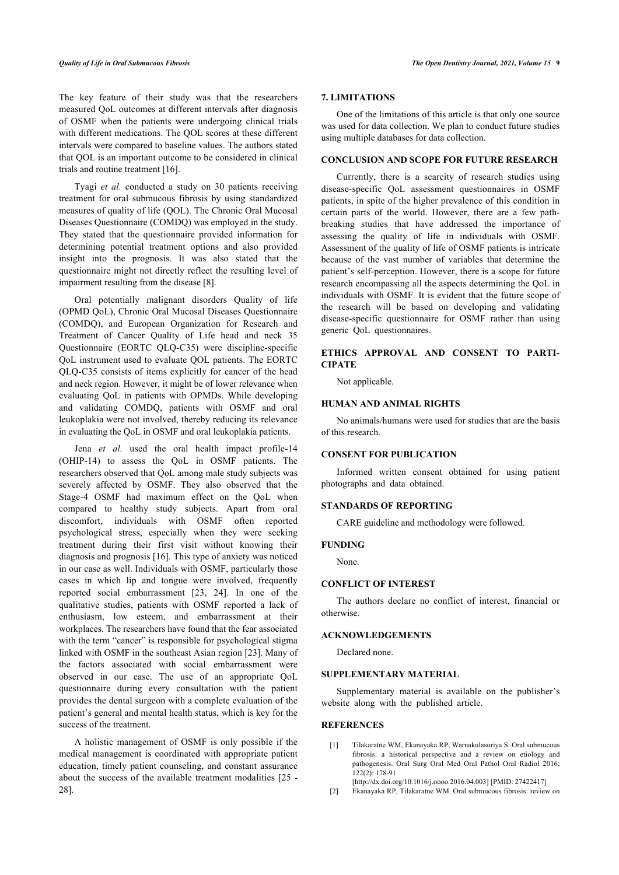The key feature of their study was that the researchers measured QoL outcomes at different intervals after diagnosis of OSMF when the patients were undergoing clinical trials with different medications. The QOL scores at these different intervals were compared to baseline values. The authors stated that QOL is an important outcome to be considered in clinical trials and routine treatment [16].

Tyagi *et al.* conducted a study on 30 patients receiving treatment for oral submucous fibrosis by using standardized measures of quality of life (QOL). The Chronic Oral Mucosal Diseases Questionnaire (COMDQ) was employed in the study. They stated that the questionnaire provided information for determining potential treatment options and also provided insight into the prognosis. It was also stated that the questionnaire might not directly reflect the resulting level of impairment resulting from the disease [8].

Oral potentially malignant disorders Quality of life (OPMD QoL), Chronic Oral Mucosal Diseases Questionnaire (COMDQ), and European Organization for Research and Treatment of Cancer Quality of Life head and neck 35 Questionnaire (EORTC QLQ-C35) were discipline-specific QoL instrument used to evaluate QOL patients. The EORTC QLQ-C35 consists of items explicitly for cancer of the head and neck region. However, it might be of lower relevance when evaluating QoL in patients with OPMDs. While developing and validating COMDQ, patients with OSMF and oral leukoplakia were not involved, thereby reducing its relevance in evaluating the QoL in OSMF and oral leukoplakia patients.

Jena *et al.* used the oral health impact profile-14 (OHIP-14) to assess the QoL in OSMF patients. The researchers observed that QoL among male study subjects was severely affected by OSMF. They also observed that the Stage-4 OSMF had maximum effect on the QoL when compared to healthy study subjects. Apart from oral discomfort, individuals with OSMF often reported psychological stress, especially when they were seeking treatment during their first visit without knowing their diagnosis and prognosis [16]. This type of anxiety was noticed in our case as well. Individuals with OSMF, particularly those cases in which lip and tongue were involved, frequently reported social embarrassment [23, 24]. In one of the qualitative studies, patients with OSMF reported a lack of enthusiasm, low esteem, and embarrassment at their workplaces. The researchers have found that the fear associated with the term "cancer" is responsible for psychological stigma linked with OSMF in the southeast Asian region [23]. Many of the factors associated with social embarrassment were observed in our case. The use of an appropriate QoL questionnaire during every consultation with the patient provides the dental surgeon with a complete evaluation of the patient's general and mental health status, which is key for the success of the treatment.

A holistic management of OSMF is only possible if the medical management is coordinated with appropriate patient education, timely patient counseling, and constant assurance about the success of the available treatment modalities [25 - 28].

# **7. LIMITATIONS**

One of the limitations of this article is that only one source was used for data collection. We plan to conduct future studies using multiple databases for data collection.

#### **CONCLUSION AND SCOPE FOR FUTURE RESEARCH**

Currently, there is a scarcity of research studies using disease-specific QoL assessment questionnaires in OSMF patients, in spite of the higher prevalence of this condition in certain parts of the world. However, there are a few pathbreaking studies that have addressed the importance of assessing the quality of life in individuals with OSMF. Assessment of the quality of life of OSMF patients is intricate because of the vast number of variables that determine the patient's self-perception. However, there is a scope for future research encompassing all the aspects determining the QoL in individuals with OSMF. It is evident that the future scope of the research will be based on developing and validating disease-specific questionnaire for OSMF rather than using generic QoL questionnaires.

# **ETHICS APPROVAL AND CONSENT TO PARTI-CIPATE**

Not applicable.

# **HUMAN AND ANIMAL RIGHTS**

No animals/humans were used for studies that are the basis of this research.

#### **CONSENT FOR PUBLICATION**

Informed written consent obtained for using patient photographs and data obtained.

### **STANDARDS OF REPORTING**

CARE guideline and methodology were followed.

#### **FUNDING**

None.

# **CONFLICT OF INTEREST**

The authors declare no conflict of interest, financial or otherwise.

#### **ACKNOWLEDGEMENTS**

Declared none.

#### **SUPPLEMENTARY MATERIAL**

Supplementary material is available on the publisher's website along with the published article.

#### **REFERENCES**

- [1] Tilakaratne WM, Ekanayaka RP, Warnakulasuriya S. Oral submucous fibrosis: a historical perspective and a review on etiology and pathogenesis. Oral Surg Oral Med Oral Pathol Oral Radiol 2016; 122(2): 178-91.
- [http://dx.doi.org/10.1016/j.oooo.2016.04.003] [PMID: 27422417]
- [2] Ekanayaka RP, Tilakaratne WM. Oral submucous fibrosis: review on